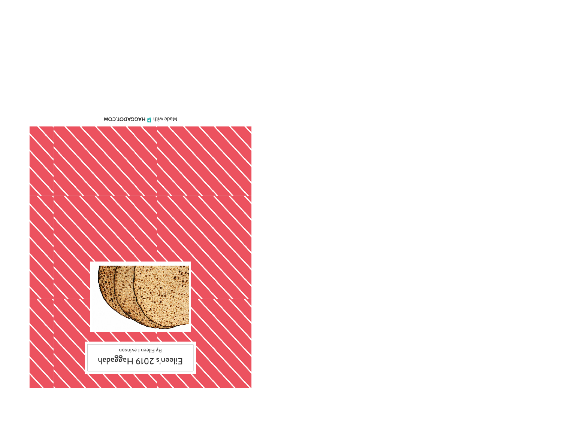

MOO.TOQADOAH Li riiw sbaM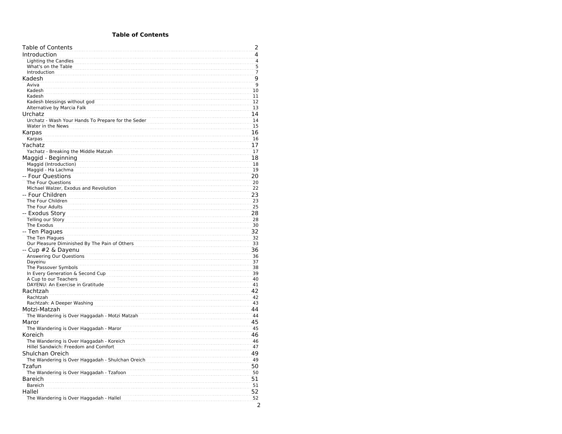#### **Table of Contents**

| Table of Contents                                                       | 2              |
|-------------------------------------------------------------------------|----------------|
| Introduction                                                            | 4              |
| Lighting the Candles                                                    | $\overline{4}$ |
| What's on the Table                                                     | 5              |
| Introduction                                                            | 7              |
| Kadesh                                                                  | 9              |
| Aviva                                                                   | 9              |
| Kadesh                                                                  | 10             |
| Kadesh                                                                  | 11             |
| Kadesh blessings without god                                            | 12             |
| Alternative by Marcia Falk                                              | 13             |
| Urchatz                                                                 | 14             |
| Urchatz - Wash Your Hands To Prepare for the Seder<br>Water in the News | 14<br>15       |
|                                                                         | 16             |
| Karpas<br>Karpas                                                        |                |
| Yachatz                                                                 | 16<br>17       |
|                                                                         |                |
| Yachatz - Breaking the Middle Matzah                                    | 17             |
| Maggid - Beginning                                                      | 18             |
| Maggid (Introduction)<br>Maggid - Ha Lachma                             | 18<br>19       |
| -- Four Questions                                                       | 20             |
| The Four Questions                                                      | 20             |
| Michael Walzer, Exodus and Revolution                                   | 22             |
| -- Four Children                                                        | 23             |
| The Four Children                                                       | 23             |
| The Four Adults                                                         | 25             |
| -- Exodus Story                                                         | 28             |
| Telling our Story                                                       | 28             |
| The Exodus                                                              | 30             |
| -- Ten Plagues                                                          | 32             |
| The Ten Plaques                                                         | 32             |
| Our Pleasure Diminished By The Pain of Others                           | 33             |
| -- Cup #2 & Dayenu                                                      | 36             |
| Answering Our Questions                                                 | 36             |
| Dayeinu                                                                 | 37             |
| The Passover Symbols                                                    | 38             |
| In Every Generation & Second Cup<br>A Cup to our Teachers               | 39<br>40       |
| DAYENU: An Exercise in Gratitude                                        | 41             |
| Rachtzah                                                                | 42             |
| Rachtzah                                                                | 42             |
| Rachtzah: A Deeper Washing                                              | 43             |
| Motzi-Matzah                                                            | 44             |
| The Wandering is Over Haggadah - Motzi Matzah                           | 44             |
| Maror                                                                   | 45             |
| The Wandering is Over Haggadah - Maror                                  | 45             |
| Koreich                                                                 | 46             |
| The Wandering is Over Haggadah - Koreich                                | 46             |
| Hillel Sandwich: Freedom and Comfort                                    | 47             |
| Shulchan Oreich                                                         | 49             |
| The Wandering is Over Haggadah - Shulchan Oreich                        | 49             |
| Tzafun                                                                  | 50             |
| The Wandering is Over Haggadah - Tzafoon                                | 50             |
| Bareich                                                                 | 51             |
| Bareich                                                                 | 51             |
| Hallel                                                                  | 52             |
| The Wandering is Over Haggadah - Hallel                                 | 52             |
|                                                                         |                |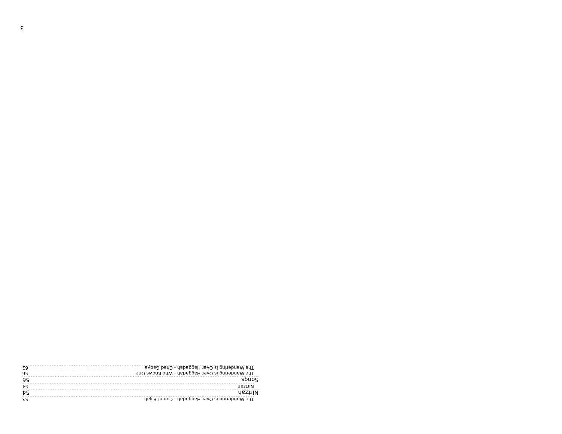| Z9 | The Wandering is Over Haggadah - Chad Gadya    |
|----|------------------------------------------------|
| 99 | The Wandering is Over Haggadah - Who Knows One |
| ٩S | sδuoς                                          |
| ъç |                                                |
|    | nitzan                                         |
| εs | The Wandering is Over Haggaba- Cup of Elijah   |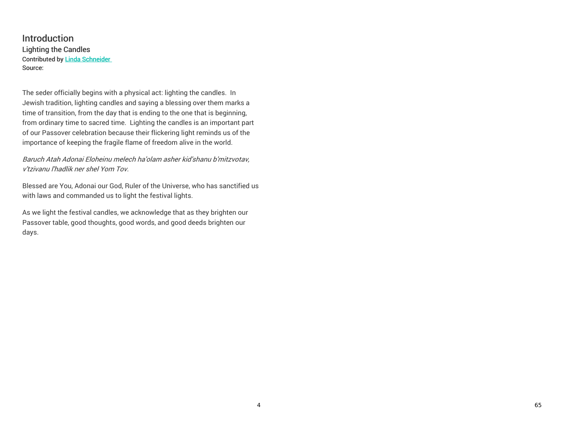Introduction Lighting the Candles Contributed by Linda Schneider Source:

The seder officially begins with a physical act: lighting the candles. In Jewish tradition, lighting candles and saying a blessing over them marks a time of transition, from the day that is ending to the one that is beginning, from ordinary time to sacred time. Lighting the candles is an important part of our Passover celebration because their flickering light reminds us of the importance of keeping the fragile flame of freedom alive in the world.

Baruch Atah Adonai Eloheinu melech ha'olam asher kid'shanu b'mitzvotav, <sup>v</sup>'tzivanu l'hadlik ner shel Yom Tov.

Blessed are You, Adonai our God, Ruler of the Universe, who has sanctified us with laws and commanded us to light the festival lights.

As we light the festival candles, we acknowledge that as they brighten our Passover table, good thoughts, good words, and good deeds brighten our days.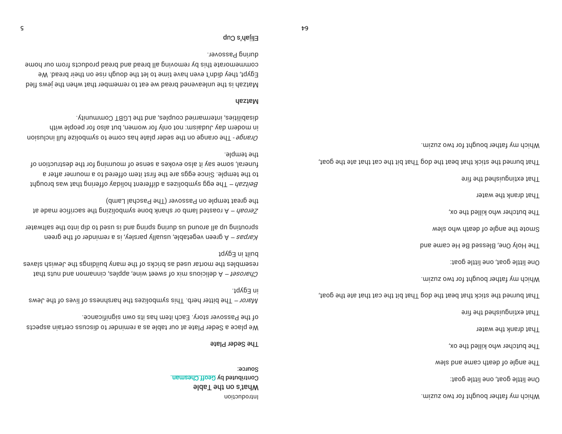Source: Contributed by Geoff Chesman 9ldsT 9dt no e'tsdW Introduction

#### The Seder Plate

of the Passover story. Each item has its own significance. We place a Seder Plate at our table as a reminder to discuss certain aspects

ın Egypt. Maror - The bitter herb. This symbolizes the harshaness of lives of the Jews

built in Egypt resembles the mortar used as bricks of the many buildings the Jewish slaves Character A delicious mix of sweet wine, apples, cinnamon and nuts that

sprouting up all around us buyer as pure for the out of the saltwater Karpas – A green vegetable, usually parsley, is a reminder of the green

the great temple on Passover (The Paschal Lamb) *i* be rosted lamb or shand bone symbolizing the sacrifice made at

the temple. funeral, some say it also evokes a sense of mourning for the destruction of to the temple. Since eggs are the first item offered to a mourner after a *Beitzal* – The egg symbolizes a different holiday offering that was brought

. tinummo T801 sht bns aslquoo beimametni asitilidsaib in modern day Judaism: not only for women, but also for people with Orange - The orange on the seder plate has come to symbolize full inclusion

#### Matzah

auring Passover. commemorate this by removing all bread and bread products from our home Egypt, they didn't even have time to let the dough rise on their bread. We Matsah is the unleavened bread we eat to remember that nedware jews fled

Elijah's Cup

The Holy One, Blessed Be He came and One little goat, one little goat:

which my father bought for two zuzim.

Smote the angle of death who slew

The butcher who killed the ox,

That extinguished the fire

The butcher who killed the ox,

One little goat, one little goat:

The angle of death came and slew

misus owt to tought for two zuzim.

That drank the water

That drank the water

That extinguished the fire

That burned the stick that beat the dog That bit the cat that ate the goat,

That burned the stick that beat the dog That bit the cat that ate the goat,

which my father bought for two zuzim.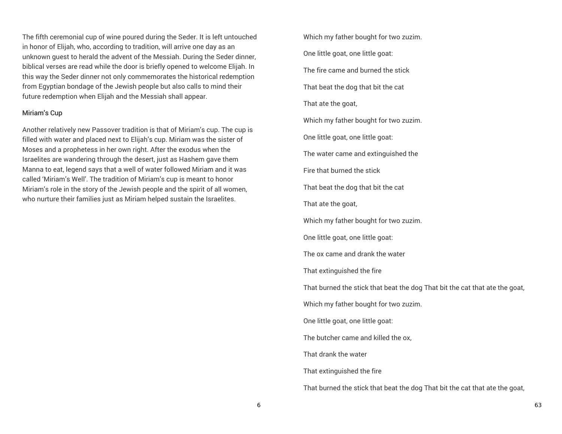The fifth ceremonial cup of wine poured during the Seder. It is left untouched in honor of Elijah, who, according to tradition, will arrive one day as an unknown guest to herald the advent of the Messiah. During the Seder dinner, biblical verses are read while the door is briefly opened to welcome Elijah. In this way the Seder dinner not only commemorates the historical redemption from Egyptian bondage of the Jewish people but also calls to mind their future redemption when Elijah and the Messiah shall appear.

#### Miriam's Cup

Another relatively new Passover tradition is that of Miriam's cup. The cup is filled with water and placed next to Elijah's cup. Miriam was the sister of Moses and a prophetess in her own right. After the exodus when the Israelites are wandering through the desert, just as Hashem gave them Manna to eat, legend says that a well of water followed Miriam and it was called 'Miriam's Well'. The tradition of Miriam's cup is meant to honor Miriam's role in the story of the Jewish people and the spirit of all women, who nurture their families just as Miriam helped sustain the Israelites.

Which my father bought for two zuzim. One little goat, one little goat: The fire came and burned the stick That beat the dog that bit the cat That ate the goat, Which my father bought for two zuzim. One little goat, one little goat: The water came and extinguished the Fire that burned the stick That beat the dog that bit the cat That ate the goat, Which my father bought for two zuzim. One little goat, one little goat: The ox came and drank the water That extinguished the fire That burned the stick that beat the dog That bit the cat that ate the goat, Which my father bought for two zuzim. One little goat, one little goat: The butcher came and killed the ox, That drank the water That extinguished the fire That burned the stick that beat the dog That bit the cat that ate the goat,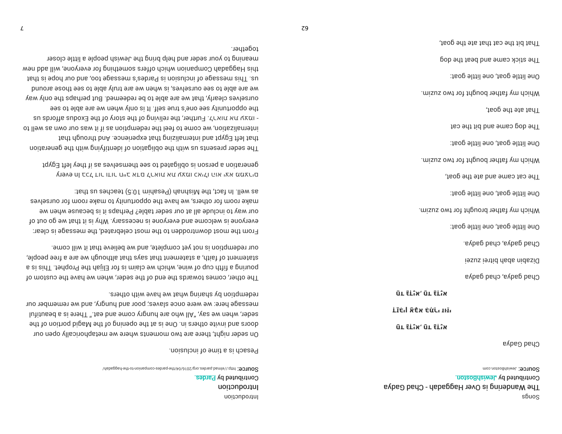sɓuos The Wandering is Over Haggadah - Chad Gadya Contributed by JewishBoston

**SOUICE: JewishBoston.com** 

eybaƏ barl

**א ָידְ ַּגד ַח** ,**א ָידְ ַּגד ַח יֵזּוז ירֵתְ ִּבא ָּבאַ ןיִּבַזדְ א ָידְ ַּגד ַח** ,**א ָידְ ַּגד ַח** cyag dahar dahal dahal i ezus i entid dada nidasi O

 $C$ pagag dahan dahag dahan daha $C$ One little goat, one little goat: Which my father brought for two zuzim. One little goat, one little goat: The cat came and ate the goat, Which my father bought for two zuzim. One little goat, one little goat: The dog came and bit the cat , the goat,  $\frac{1}{2}$ which my father bought for two zuzim.

:t aog elttil eno,t aog elttil enO

The stick came and beat the dog

, the get the cat that at ethe goat,

Introduction ntroduction Contributed by Pardes Source: http://elmad.pares.org/2016/04/the-pardes-companned-haggehab/

. noi auloni to emit a si dosse q

On seder night, there are two moments where we metaphorically open our eht fo noitrod bigaM eht to gnine oedt ta si enO. ni sterlto etivni bna stoob seder, when we say, "All who are hungry come and ear." There is a beautiful unessade pere: we were once slaves; boor and pungry, and we rememper our redemption by suite we have with others.

The other, comes towards the end of the seder, when we have the custom of pa si sidT. the hop of wine, which we claim is for Elijah the Prophet. This is a e poep is a er a en trainer as each eight and so he saids and so incorder to people, our redemption is not yet complete, and we believe that it will come.

From the most downtrodden to the most celebrated, the message is clear: everyone is welcome and everyone is necessary. Why is it that we go out of our way to include all at our seger table? Perhaps it is because when we make room for others, we have the opportunity to make room for ourselves st well. In fact, the Mishnah (Pesahim 10:5) teaches us that:

ם יאט איז האז ממצרים (יאות אמ עצמו כאילו האי ממצרים אדם לראות את עמצרים generation a gid yeht fi sa sevl ezan ent ees ot betaglido si nost eq noit and get a non

The seder presents us with the obligation of identifying with the generation that heft Egypt and internalizil and that experience. And then that ot llew as nwo uo saw ti ti as noit queber eft leef of emoce well to su sbooth a sudot support is a subsety of the fronties are suppordent after  $\epsilon$ the opportunity see one's true self. It is only when we are able to see ourselves clearly, that we are able to be redeemed. But perhaps the only way we are able to see ourselves, is when we are truly able to see those around tsh si eqon uo bns , oot egassem a' sebra ai noi aub no egassem aid T. au this Haggaah Companion which offers something for everyone, will add new meaning to your seder and help bring the Jewish people a little closer together.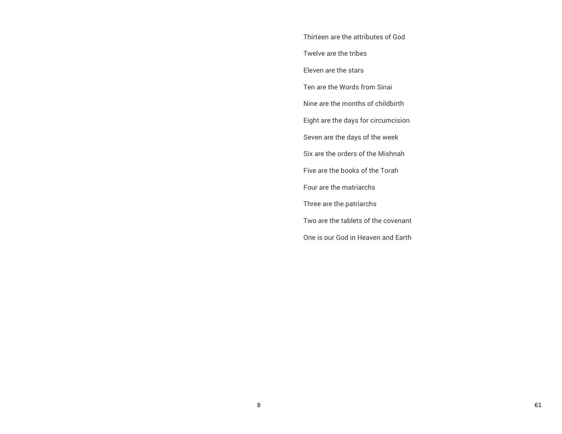Thirteen are the attributes of God Twelve are the tribes Eleven are the stars Ten are the Words from Sinai Nine are the months of childbirth Eight are the days for circumcision Seven are the days of the week Six are the orders of the Mishnah Five are the books of the Torah Four are the matriarchs Three are the patriarchs Two are the tablets of the covenant One is our God in Heaven and Earth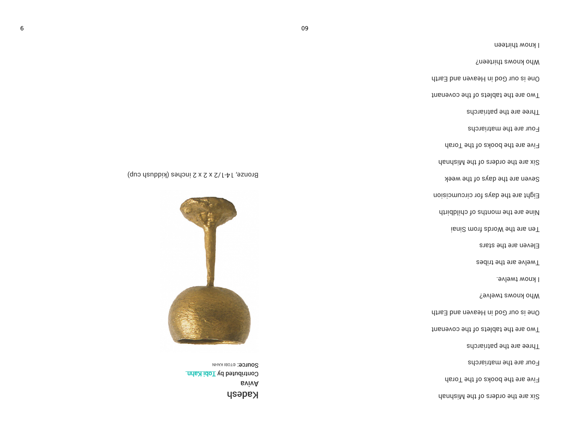Five are the books of the Torah Six are the orders of the Mishnah Seven are the days of the week Eight are the days for circumcision Atridblido to adtrom edt enildbirth Ten are the Words from Sinai Eleven are the stars Twelve are the tribes I know twelve. Mho knows twelve? One is our God in Heaven and Earth Two are the tablets of the covenant Three are the patriarchs Four are the matriarchs Five are the books of the Torah Six are the orders of the Mishnah

I know thirteen

**Sneahint awons on W** 

Three are the patriarchs

Four are the matriarchs

One is our God in Heaven and Earth

Two are the tablets of the covenant

Source: @TOBI KAHN Contributed by Tobi Kahn svivA **Kadesh** 



Bronze, 14-1/2 x 2 x 2 inches (kiddush cup)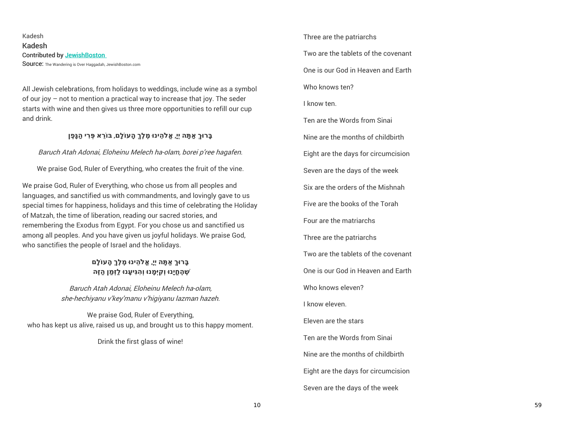Kadesh Kadesh Contributed by JewishBoston Source: The Wandering is Over Haggadah, JewishBoston.com

All Jewish celebrations, from holidays to weddings, include wine as a symbol of our joy – not to mention a practical way to increase that joy. The seder starts with wine and then gives us three more opportunities to refill our cup and drink.

#### **בָּרו ּךְ ַא ָתּה יְיָ**, **ֱא ֹל ֵהינו ּ ֶמלֶךְ ָהע ֹולָם**, **בּ ֹו ֵרא ְּפ ִרי ַהגָּ ֶפן**

#### Baruch Atah Adonai, Eloheinu Melech ha-olam, borei p'ree hagafen.

We praise God, Ruler of Everything, who creates the fruit of the vine.

We praise God, Ruler of Everything, who chose us from all peoples and languages, and sanctified us with commandments, and lovingly gave to us special times for happiness, holidays and this time of celebrating the Holiday of Matzah, the time of liberation, reading our sacred stories, and remembering the Exodus from Egypt. For you chose us and sanctified us among all peoples. And you have given us joyful holidays. We praise God, who sanctifies the people of Israel and the holidays.

## **בָּרו ּךְ ַא ָתּה יְיָ**, **ֱא ֹל ֵהינו ּ ֶמלֶךְ ָהע ֹולָם ָּמנו ּוְ ִהגִּי ָענו ּלַזְ ַּמן ַהזֶּה ֶׁש ֶהחֱיָנו ּוְ ִקיְ**

Baruch Atah Adonai, Eloheinu Melech ha-olam, she-hechiyanu <sup>v</sup>'key'manu <sup>v</sup>'higiyanu lazman hazeh.

We praise God, Ruler of Everything, who has kept us alive, raised us up, and brought us to this happy moment.

Drink the first glass of wine!

Three are the patriarchs Two are the tablets of the covenant One is our God in Heaven and Earth Who knows ten? I know ten. Ten are the Words from Sinai Nine are the months of childbirth Eight are the days for circumcision Seven are the days of the week Six are the orders of the Mishnah Five are the books of the Torah Four are the matriarchs Three are the patriarchs Two are the tablets of the covenant One is our God in Heaven and Earth Who knows eleven? I know eleven. Eleven are the stars Ten are the Words from Sinai Nine are the months of childbirth Eight are the days for circumcision Seven are the days of the week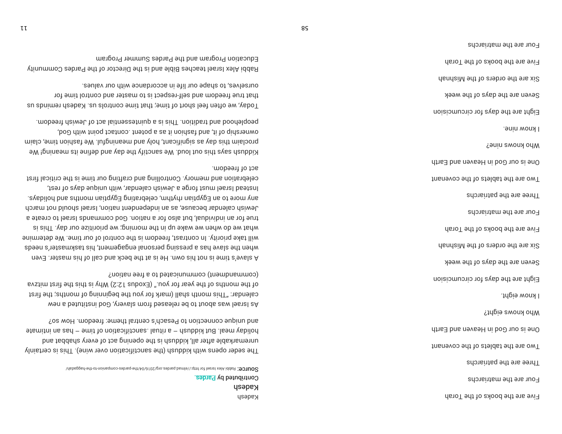Six are the orders of the Mishnah Seven are the days of the week Eight are the days for circumcision I know nine. Unio knows nines One is our God in Heaven and Earth Two are the tablets of the covenant Three are the patriarchs Four are the matriarchs Five are the books of the Torah Six are the orders of the Mishnah Seven are the days of the week Eight are the days for circumcision l know eight. ono knows eight? One is our God in Heaven and Earth Two are the tablets of the covenant Three are the patriarchs Four are the matriarchs Five are the books of the Torah

Four are the matriarchs

Five are the books of the Torah

SOUICE: Rabbi Alex lsrael for http://elmad.pardes.org/2016/04/the-pardes-companion-to-the-haggadah/ Contributed by **Pardes цеарея** цsәреу

and unique connection to Pesach's central theme: freedom. How so? eficing the sed - emit to notisofitionse. Isuth a - daubbil tual leem vabiled unremarkable after all, kiddush is the opening act of every shabbat and The seder opens with kiddush (the sanctification over wine). This is certainly

(commandment) communicated to a free nation? of the months of the year for you." (Exodus 12:2) Why is this the first mitzva tail bot fishiom to pninniped bot you the beging of months; the first As Israel was about to be released from slavery, God instituted a new

act of freedom. telebration and memory. Controlling and crafting our time is the critical first Instead Israel must forge a Jewish calendar, with unique days of rest, any more to an Egyptian rhythm, celebrating Egyptian months and holidays. Jewish calendar because, as an independent nation, Israel should not march true for an individual, but also for a nation. God commands Israel to create a what we do when we wake up in the morning; we prioritize our day. This is will take priority. In contrast, freedom is the control of our time. We determine when the slave has a pressing personal engagement, his taskmaster's needs A slave's time is not his own. He is at the beck and call of his master. Even

mobes in daimed to the lattresse training a sight in out the boods loss. bod diiw tnioq tostnoo. tnetoq a as ti noidast bns ,ti to qidatenwo mislo , bmit noids at 9W .lutgnine am bns vlod , the oiting is a vab sidt misloorg Hiddush system in out loud. We sanctify the day and define its meaning! We

ourselves, to shape our life in accordance with our values. that true freedom and self-respect is to master and control time for Today, we often feel short of time; that time controls us. Kadesh reminds us

Education Program and the Pardes Summer Program Rabbi Alex Israel teaches Bible and is the Director of the Pardes Community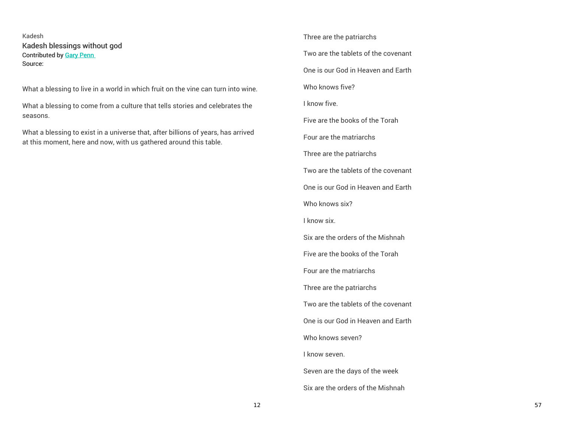Kadesh Kadesh blessings without god Contributed by Gary Penn Source:

What a blessing to live in a world in which fruit on the vine can turn into wine.

What a blessing to come from a culture that tells stories and celebrates the seasons.

What a blessing to exist in a universe that, after billions of years, has arrived at this moment, here and now, with us gathered around this table.

Three are the patriarchs Two are the tablets of the covenant One is our God in Heaven and Earth Who knows five? I know five. Five are the books of the Torah Four are the matriarchs Three are the patriarchs Two are the tablets of the covenant One is our God in Heaven and Earth Who knows six? I know six. Six are the orders of the Mishnah Five are the books of the Torah Four are the matriarchs Three are the patriarchs Two are the tablets of the covenant One is our God in Heaven and Earth Who knows seven? I know seven. Seven are the days of the week Six are the orders of the Mishnah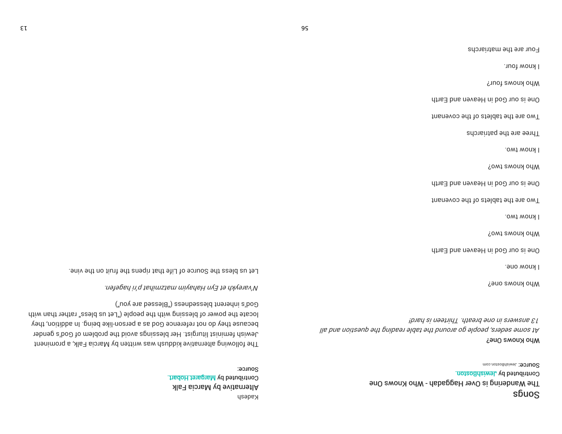## sbuos Fhe Wandering is Over Haggada - Who Knows One Contributed by JewishBoston Source: JewishBoston.com

**DES WOUN OUN SALES** ll a bna noit seup ear and a droibh and a late point and all bat  $\mu$  $\mu$  ah si ubahan si peath Thirteen is bard.

**DE KNOUS OURS** 

I know one.

One is our God in Heaven and Earth

**Sowt awons only** 

.owt won l

Two are the tablets of the covenant

One is our God in Heaven and Earth

**Cowt swoux only** 

.owt won l

 $\epsilon$  are the patriarchs

Two are the tablets of the covenant

One is our God in Heaven and Earth

who knows four?

.r uof wonkI

Four are the matriarchs

hsedaK Alternative by Marcia Falk Contributed by Margaret Hobart Source:

The following alternative kiddush was written by Marcia Falk, a prominent Jewish feminist liturgist. Her blessings avoid the problem of God's gender because they do not reference God as a person-like being. In addition, they locate the power of blessing with the people ("Let us bless" rather than with God's inherent blessedness ("Blessed are you")

ואָר וואָרן פֿ $\beta$ ון וואָפּער הייטוואַנ $\mu$  שפֿנפּנש: "מ $\partial$ פּו $\alpha$ 

Let us bless the Source of Life that ripens the firm in on the vine.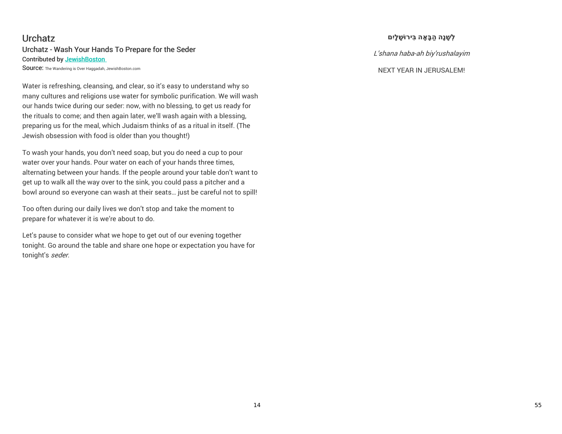## Urchatz Urchatz - Wash Your Hands To Prepare for the Seder Contributed by JewishBoston

Source: The Wandering is Over Haggadah, JewishBoston.com

Water is refreshing, cleansing, and clear, so it's easy to understand why so many cultures and religions use water for symbolic purification. We will wash our hands twice during our seder: now, with no blessing, to get us ready for the rituals to come; and then again later, we'll wash again with a blessing, preparing us for the meal, which Judaism thinks of as a ritual in itself. (The Jewish obsession with food is older than you thought!)

To wash your hands, you don't need soap, but you do need a cup to pour water over your hands. Pour water on each of your hands three times, alternating between your hands. If the people around your table don't want to get up to walk all the way over to the sink, you could pass a pitcher and a bowl around so everyone can wash at their seats… just be careful not to spill!

Too often during our daily lives we don't stop and take the moment to prepare for whatever it is we're about to do.

Let's pause to consider what we hope to get out of our evening together tonight. Go around the table and share one hope or expectation you have for tonight's seder.

#### **לְ ָׁשנָה ַהבָּ ָאה בִּירו ָּׁשלָֽיִם**

L'shana haba-ah biy'rushalayim

NEXT YEAR IN JERUSALEM!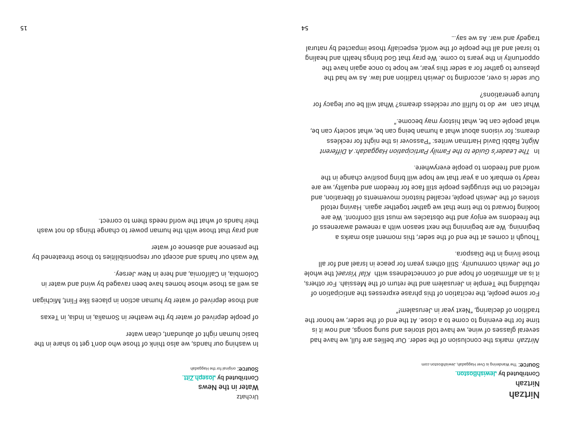# Contributed by JewishBoston **distribution Nirtzah**

SOUICE: The Wandering is Over Haggaab, JewishBoston.com

"!məlsəude ni 169 txəl/" (prinsləb to noitibati time for the evening to come to a close. At the end of the seder, we honor the si ii won bns ,epnos pnus bns seitots blot even ew ,eniw to eessalp lateves bad even the conclusion of the seder. Our bellies are full, we have had

snoqzaid ent ni pnivil ezont of the Jewish community. Still others yearn for peace in larael and for all elodw edt *les asi V lal X diw eesnbetoannoo* to bna eqod to noitamilita na ai ti rebuilding the Temple in Jerusalem and the return of the Messiah. For others, For some people, the recitation of this phrase expresses the anticipation of

world and freedom to people everywhere. ready to embark on a year that we hope will bring positive change in the reflected on the struggles people still face for freedom and equality, we are stories of the Jewish people, recalled historic movements of liberation, and looking forward to the time that we gather together again. Having retold the freedoms we enjoy and the obstacles we must still confront. We are beginning. We are beginning the next season with a renewed awareness of Though it comes at the end of the seder, this moment also marks a

what people can be, what history may become." dreams; for visions about what a human being can be, what society can be, Aright Babbi David Hartman writes: "Passover is the night for reckless In The Leader's Guide to the Family Participation Haggadah: A Different

future generations? What can we do to fulfill our reckless dreams? What will be our legacy for

tragedy and war. As we say... to lsrael and all the people of the world, especially those impacted by natural opportunity in the years to come. We pray that God brings health and healing pleasure to gather for a seder this year, we hope to once again have the Our seder is over, according to Jewish tradition and law. As we had the

SOUICE: original for the Haggadah Contributed by Joseph Zitt Water in the News Urchatz

basic human right of abundant, clean water 911 ni anada ot tag t'nob odw saodt to xhidt oals aw abnad no prides w nl

of people deprived of water by the weather in Somalia, in lndia, in Texas

and those deprived of water by human action in places like Flint, Michigan

Colombia, in California, and here in New Jersey. as well as those whose homes have been ravaged by wind and water in

the presence and absence of water We wash our hands and accept our responsibilities to those threatened by

their hands of what the world needs them to correct. and pray that those with the human power to change things do not wash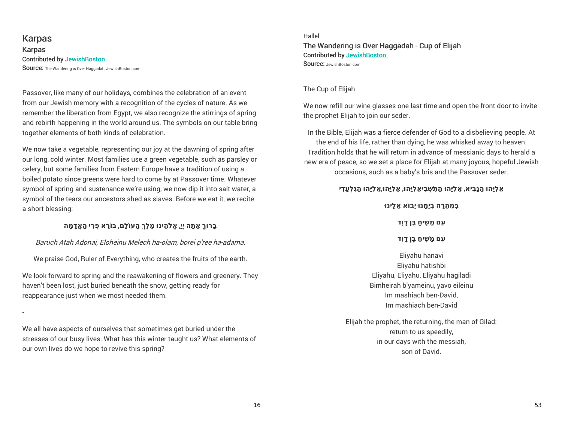## Karpas Karpas Contributed by JewishBoston Source: The Wandering is Over Haggadah, JewishBoston.com

Passover, like many of our holidays, combines the celebration of an event from our Jewish memory with a recognition of the cycles of nature. As we remember the liberation from Egypt, we also recognize the stirrings of spring and rebirth happening in the world around us. The symbols on our table bring together elements of both kinds of celebration.

We now take a vegetable, representing our joy at the dawning of spring after our long, cold winter. Most families use a green vegetable, such as parsley or celery, but some families from Eastern Europe have a tradition of using a boiled potato since greens were hard to come by at Passover time. Whatever symbol of spring and sustenance we're using, we now dip it into salt water, a symbol of the tears our ancestors shed as slaves. Before we eat it, we recite a short blessing:

#### בָּרוּךְ אַתָּה יְיֵ, אֱלֹהֵינוּ מֶלֶךְ הָעוֹלָם, בּוֹרֵא פְּרִי הָאֲדָמָה

#### Baruch Atah Adonai, Eloheinu Melech ha-olam, borei p'ree ha-adama.

We praise God, Ruler of Everything, who creates the fruits of the earth.

We look forward to spring and the reawakening of flowers and greenery. They haven't been lost, just buried beneath the snow, getting ready for reappearance just when we most needed them.

-

We all have aspects of ourselves that sometimes get buried under the stresses of our busy lives. What has this winter taught us? What elements of our own lives do we hope to revive this spring?

Hallel The Wandering is Over Haggadah - Cup of Elijah Contributed by JewishBoston Source: JewishBoston.com

## The Cup of Elijah

We now refill our wine glasses one last time and open the front door to invite the prophet Elijah to join our seder.

In the Bible, Elijah was a fierce defender of God to a disbelieving people. At the end of his life, rather than dying, he was whisked away to heaven. Tradition holds that he will return in advance of messianic days to herald a new era of peace, so we set a place for Elijah at many joyous, hopeful Jewish occasions, such as a baby's bris and the Passover seder.

## **ֵאלִיָּֽהו ַּהנָּבִיא**, **ֵאלִיָּֽהו ַּה ִתּ ְׁשבִּי ֵאלִיָּֽהוּ**, **ֵאלִיָּֽהוּ**, **ֵאלִיָּֽהו ַּהגִּלְ ָע ִדי**

## **בִּ ְמ ֵה ָרה בְיָ ֵֽמנו ּיָב ֹוא ֵאלֵֽינו ּ**

**עִם ָמ ִֽׁשיחַ בֶּן ָדּוִד**

## **עִם ָמ ִֽׁשיחַ בֶּן ָדּוִד**

Eliyahu hanavi Eliyahu hatishbi Eliyahu, Eliyahu, Eliyahu hagiladi Bimheirah b'yameinu, yavo eileinu Im mashiach ben-David, Im mashiach ben-David

Elijah the prophet, the returning, the man of Gilad: return to us speedily, in our days with the messiah, son of David.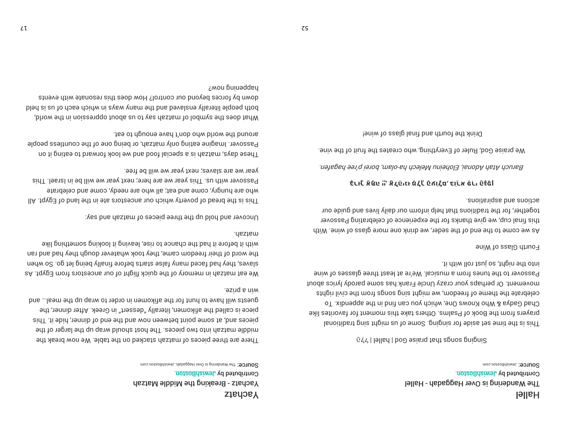## **l** elleH ləllaH - dabagga Həv Osi prirəbna Wəllel Contributed by JewishBoston Source: JewishBoston.com

ַהֲלַב | lellad | boƏ əsiarq tari apnos puignis

l anoitibe it prie theim and o e mos. pui prie rot edise te se mit edt ai aid T ekil setir ovaf r of Psalms. Others take this moment for favorites like Chad. xibnedge eht ni bnit nac uoy doidw and awony odw & sybeo bado st his edepthision, we may be had a stated for the civil rights movement. Or perhaps your crazy Uncle Frank has some parody lyrics about Passover to the tunes from a musical. We're at least three glasses of wine .ti dtiw llor tauj os ,tdpin edt otni

Fourth Glass of Wine

As we come to the end of the seder, we drink one more glase to wive. With this final cup, we give thanks for the experience of celebrating Passover together, for the traditions that help inform our daily lives and guide our . anoit angle and a snoit can

## **ןפֶ ָּגהַ ירִפְּ ארֵ ֹוּב** ,**ם ָל ֹועהָ ְך ֶלמֶ ּונ יהֵ ֹלאֱ** ,**ָיְיה ּתָאַ ְךּור ָּב**

 $\mu$  agatuch Afah Adonal, Elohennu Melech halo- ah had ah hada hat ah hada ka hada ka hada ka hada ka hada ka hada

We praise God, Ruler of Everything, who creates the fiurt of the vine.

Drink the fourth and final glass by the i

# **ZjedoaY Hazt and a Me Muidde Matzah** Contributed by Jemsia Boston

SOUICE: The Wandering is Over Haggadah, JewishBoston.com

Fhere are three pieces of matzah stacked on the table. We now break the eht to regre and the cost all every controller wis pupped of the put of the pieces and, at some point between now and the end of dning the it. This piece is called the afficomen, literally "dessert" in Greek. After dinner, the guests will have to hunt for the afikomen in order to wrap up the meal... and . ezinq a niw

We eat matzah in memory of the quick flight ho to be incestor and Fgypt. As neh woS. op tel gnied yll and at starts eslat ynam bestre dah yeht, seval s the word of their freedom came, they took whatever dough they had and ran with it before it had the chance to rise, leaving it looking gomething like .dsstem

Uncover and hold up the three pieces of matzah and say:

This is the bread of poverty which our ancestors as a big to depend of Egypt. All who are hungry, come and eat; all who are needy, come and celebrate Passover with us. This year we are here; next year we will be in larael. This year we are slaves; next year we will be free.

These days, mast as in appeal food and we look house of princip in on the pit on Passover. Imagine eating only matzah, or being one of the countless people around the who don't have enough to eat.

, bliow ent ni noisseridgo tuods au ot yas haztem to lodmys ent seob ferw blen ai su to hose hoidw ni syaw ynam bha bawlsane yll si eu bolo dubd stneve htiw etences beyond our control? How does this resonate with events  $\epsilon$ мои бијиәddец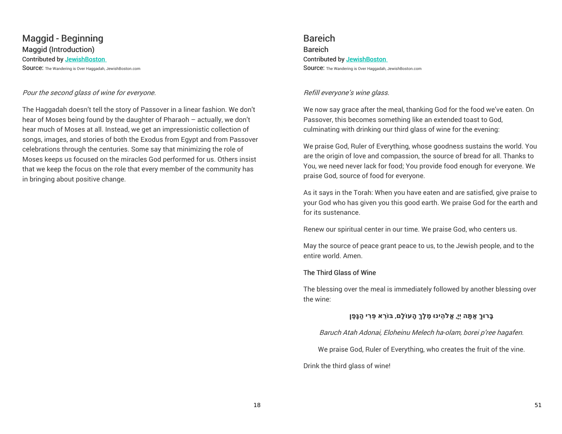## Maggid - Beginning Maggid (Introduction) Contributed by JewishBoston Source: The Wandering is Over Haggadah, JewishBoston.com

#### Pour the second glass of wine for everyone.

The Haggadah doesn't tell the story of Passover in a linear fashion. We don't hear of Moses being found by the daughter of Pharaoh – actually, we don't hear much of Moses at all. Instead, we get an impressionistic collection of songs, images, and stories of both the Exodus from Egypt and from Passover celebrations through the centuries. Some say that minimizing the role of Moses keeps us focused on the miracles God performed for us. Others insist that we keep the focus on the role that every member of the community has in bringing about positive change.

# Bareich

**Bareich** Contributed by JewishBoston Source: The Wandering is Over Haggadah, JewishBoston.com

#### Refill everyone's wine glass.

We now say grace after the meal, thanking God for the food we've eaten. On Passover, this becomes something like an extended toast to God, culminating with drinking our third glass of wine for the evening:

We praise God, Ruler of Everything, whose goodness sustains the world. You are the origin of love and compassion, the source of bread for all. Thanks to You, we need never lack for food; You provide food enough for everyone. We praise God, source of food for everyone.

As it says in the Torah: When you have eaten and are satisfied, give praise to your God who has given you this good earth. We praise God for the earth and for its sustenance.

Renew our spiritual center in our time. We praise God, who centers us.

May the source of peace grant peace to us, to the Jewish people, and to the entire world. Amen.

#### The Third Glass of Wine

The blessing over the meal is immediately followed by another blessing over the wine:

#### **בָּרו ּךְ ַא ָתּה יְיָ**, **ֱא ֹל ֵהינו ּ ֶמלֶךְ ָהע ֹולָם**, **בּ ֹו ֵרא ְּפ ִרי ַהגָּ ֶפן**

Baruch Atah Adonai, Eloheinu Melech ha-olam, borei p'ree hagafen.

We praise God, Ruler of Everything, who creates the fruit of the vine.

Drink the third glass of wine!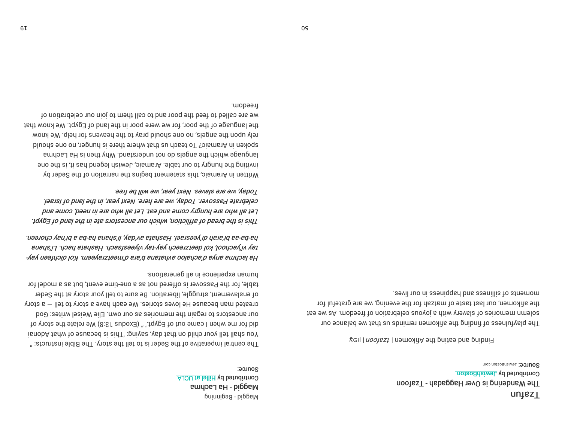## **SOUICE: JewishBoston.com** Contributed by JewishBoston The Wandering is Over HaggadaT - Tzafoon unjezl

العور إيادة العيادة العام العام العور aril | *uoojezi* | uəmoxliA ədi prisə bas

eavil no ni eseniqqad bns esenillie to etnemom. the afikomen, our last taste of matzah for the evening, we are grateful for solem memories of slavery with a joyous celebration of freedom. As we eat The playfulness of finding the afikomen reminds us that we balance our

Source: Contributed by Hillel at UCLA **Maggid - Ha Lachma** Maggid - Beginning

human experience in all generations. table, for the Passover is offered not as a one-time event, but as a model for of enslavement, struggle, liberation. Be sure to tell your story at the Seder created man because He loves stories. We each have a story to tell - a story our ancestors to regain the memories as our own. Elie Weisel writes: God did for me when I came out of Egypt." (Exodus 13:8) We relate the story of is nobe that is a bild on that day, saying: 'This is because of what Adonai The central imperative of the Seder is to tell the story. The Bible instructs: "

uəənoyo Keujid e ed-ey eueysji (xep,ve eteyseH .ləsizəəy'ib nere'id es-ed-en. tay vi'yachool, kol deetzreech yay-tay viyeesfsach. Hashata hach. Li'shana Ha lachma anya menginang paparang paparanang naya manda na pak-

Today, we are slaves. Next year, we will be free. celebrate Passover. Today, we are here. Next year, in the land of Israel. pue auros 'paau ur ale oym jie ta Les die bue auros vibuny ale oym jie ta L This is the bread of affliction, which our ancestors ate in the land of Egypt.

freedom. to noits deles to feed the poor and to call them to join our celebration of the language of the poor, for we were poor in the land of Egypt. We know that rely upon the angels, no one should pray to the heavens for help. We know spoken in Aramaic? To teach us that where there is hunger, no one should Ianguage which the angels do not understand. Why then is Ha Lachma inviting the hungry to our table. Aramaic, Jewish legend has it, is the one Written in Aramaic, this statement begins the narration of the Seder by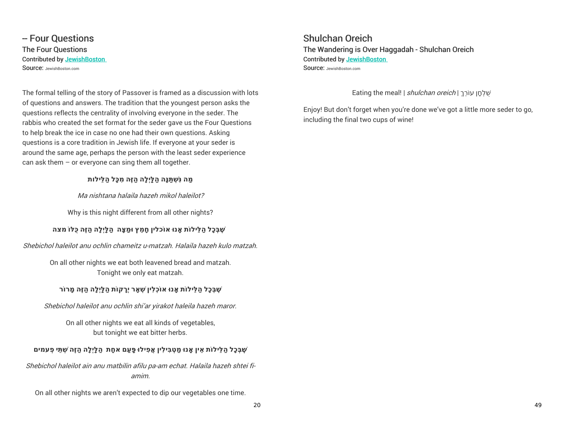- Four Questions The Four Questions Contributed by JewishBoston SOUICE: JewishBoston.com

The formal telling of the story of Passover is framed as a discussion with lots of questions and answers. The tradition that the youngest person asks the questions reflects the centrality of involving everyone in the seder. The rabbis who created the set format for the seder gave us the Four Questions to help break the ice in case no one had their own questions. Asking questions is a core tradition in Jewish life. If everyone at your seder is around the same age, perhaps the person with the least seder experience can ask them – or everyone can sing them all together.

#### **ַמה נִּ ְׁש ַתּנָּה ַהלַּֽיְלָה ַהזֶּה ִמכָּל ַהלֵּילות**

Ma nishtana halaila hazeh mikol haleilot?

Why is this night different from all other nights?

#### **ֶׁשבְּכָל ַהלֵּיל ֹות ָֽאנו ּא ֹוכלין חָ ֵמץ ו ַּמצָּה ַהלַּֽיְלָה ַהזֶּה כֻּלּ ֹו מצה**

Shebichol haleilot anu ochlin chameitz u-matzah. Halaila hazeh kulo matzah.

On all other nights we eat both leavened bread and matzah. Tonight we only eat matzah.

## **ֶׁשבְּכָל ַהלֵּיל ֹות ָֽאנו ּא ֹוכְלִין ְׁש ָאר יְָרק ֹות ַהלַּֽיְלָה ַהזֶּה ָמר ֹור**

Shebichol haleilot anu ochlin shi'ar yirakot haleila hazeh maror.

On all other nights we eat all kinds of vegetables, but tonight we eat bitter herbs.

#### ֹשֶׁבְּכָל הַלֵּילוֹת אֵין אֶנוּ מַטְבִּילִין אֱפִילוּ פַּעַם אחֶת הַלֵּיְלֵה הַזֶּה שְׁתֵּי פְעמים

Shebichol haleilot ain anu matbilin afilu pa-am echat. Halaila hazeh shtei fiamim.

On all other nights we aren't expected to dip our vegetables one time.

Shulchan Oreich The Wandering is Over Haggadah - Shulchan Oreich Contributed by JewishBoston SOUICE: JewishBoston.com

Eating the meal! | *shulchan oreich* | שְׁלְחַן עוֹרֵךָ

Enjoy! But don't forget when you're done we've got a little more seder to go, including the final two cups of wine!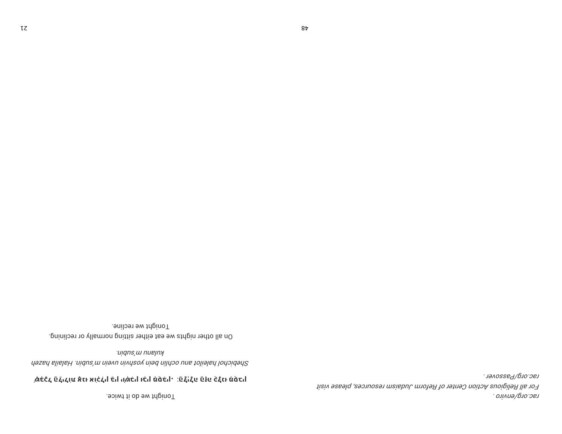## Tonight we do it twice.

ֶאֶׁבֹּכֹּבְ פَבْוַבְוָע אָנוּ אולֲבְוֹן כֵּוֹן יוֹאֲבֹוֹן וּבֹוֹ עֹמֹבּוֹן : פַּבְּוֹבָע פֿוֹע כֹּבְֿנוּ עֹמֹכו

Shepichol haleilot and ochlin bein yoshun uvein misular. Halaila hazeh

uigns, w nuejny

Tonight we recline. On all other nights we eat either sitting normally or reclining.

> пасогд/рлоги. For all Religious Action Center of Reform Judaisn resources, please visit . отупе\*еп*чіго.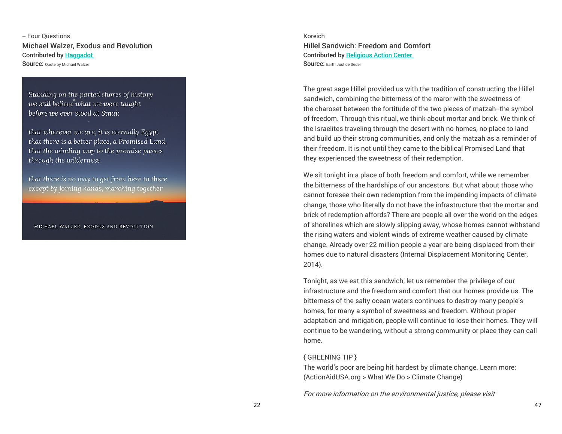-- Four Questions Michael Walzer, Exodus and Revolution Contributed by Haggadot

Source: Quote by Michael Walzer

Standing on the parted shores of history we still believe what we were taught before we ever stood at Sinai:

that wherever we are, it is eternally Eqypt that there is a better place, a Promised Land, that the winding way to the promise passes through the wilderness

that there is no way to get from here to there except by joining hands, marching together

MICHAEL WALZER, EXODUS AND REVOLUTION

Koreich Hillel Sandwich: Freedom and Comfort Contributed by Religious Action Center Source: Earth Justice Seder

The great sage Hillel provided us with the tradition of constructing the Hillel sandwich, combining the bitterness of the maror with the sweetness of the charoset between the fortitude of the two pieces of matzah--the symbol of freedom. Through this ritual, we think about mortar and brick. We think of the Israelites traveling through the desert with no homes, no place to land and build up their strong communities, and only the matzah as a reminder of their freedom. It is not until they came to the biblical Promised Land that they experienced the sweetness of their redemption.

We sit tonight in a place of both freedom and comfort, while we remember the bitterness of the hardships of our ancestors. But what about those who cannot foresee their own redemption from the impending impacts of climate change, those who literally do not have the infrastructure that the mortar and brick of redemption affords? There are people all over the world on the edges of shorelines which are slowly slipping away, whose homes cannot withstand the rising waters and violent winds of extreme weather caused by climate change. Already over 22 million people a year are being displaced from their homes due to natural disasters (Internal Displacement Monitoring Center, 2014).

Tonight, as we eat this sandwich, let us remember the privilege of our infrastructure and the freedom and comfort that our homes provide us. The bitterness of the salty ocean waters continues to destroy many people's homes, for many a symbol of sweetness and freedom. Without proper adaptation and mitigation, people will continue to lose their homes. They will continue to be wandering, without a strong community or place they can call home.

#### { GREENING TIP }

The world's poor are being hit hardest by climate change. Learn more: (ActionAidUSA.org > What We Do > Climate Change)

For more information on the environmental justice, please visit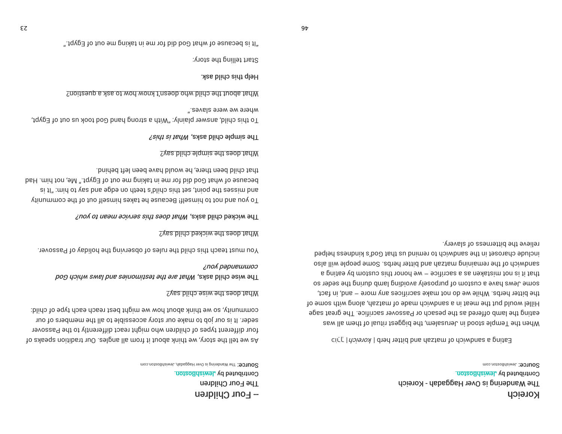## SOUICE: The Wandering is Over Haggadah, JewishBoston.com Contributed by JewishBoston The Four Children - Four Children

community, so we think about how we might best reach each type of child: seder. It is our job to make our story accessible to all the members of our four different types of children who might react differently to the Passover to example the story, we think about it trong all angles. Our tradition speaks of

#### <u>Nhat does the wise child say?</u>

гпол рәриешшоэ The wise child asks, What are the testimonies and laws which God

You must teach this child the rules of observing the holiday of Passover.

#### **System best the wicked child say?**

#### The wicked child asks, What does this service mean to you?

that child been there, he would have been left behind. because of what God did for me in taking me out of Egypt." Me, not hin. Had si 1|" : mind of yes bns eppe no diest a blind and the spyle in the sezeim bns To you and not to himself! Because he takes himself out of the community

#### <u>Sysa blino elqmia ent aeob tanW</u>

#### Saidt ai the child asks, What is this?

where we were slaves." To this child, answer plainly: "With a strong hand God took us out of Egypt,

#### <u> Snoiteaup a les ot won doesn't know how to ask a question?</u>

#### Help this child ask.

Start telling the story:

".ti is because of what God did for me in taking me out of Egypt."

**SOUICE: JewishBoston.com** Contributed by JewishBoston The Wandering is Over Haggadah - Koreich **Koreich** 

Eating a sandwich of matzah and bitter herb | koreich | Ari

relieve the bitterness of slavery. include charget in the sandwich to remind us that God's kindness helped oals Iliw alqoaq amo2 .adiad istid bns datasmonium also beople will also that it is not mistaken as a sacrifice - we honor this custom by eating a some Jews have a custom of purposely avoiding lamb during the seder so the bitter herbs. While we do not make sacrifices any more - and, in fact, Hillel would put the meat in a sandwich made of mastah, anole of the some of eating the lamb offered as the pesach or Passover sacrifice. The great sage When the Temple stood in Jerusalen, the biggest ritual of them all was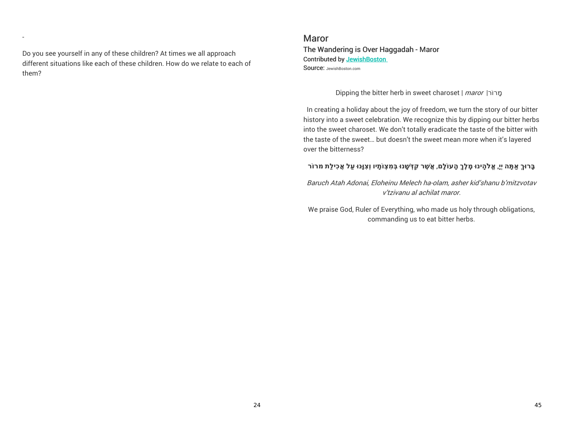Do you see yourself in any of these children? At times we all approach different situations like each of these children. How do we relate to each of them?

-

Maror The Wandering is Over Haggadah - Maror Contributed by JewishBoston SOUICE: JewishBoston.com

Dipping the bitter herb in sweet charoset | maror מְרוֹר

In creating a holiday about the joy of freedom, we turn the story of our bitter history into a sweet celebration. We recognize this by dipping our bitter herbs into the sweet charoset. We don't totally eradicate the taste of the bitter with the taste of the sweet… but doesn't the sweet mean more when it's layered over the bitterness?

## בָּרוּךְ אַתָּה יְיָ, אֱלֹהָינוּ מֶלֶךְ הָעוֹלָם, אֲשֶׁר קִדְּשָׁנוּ בְּמִצְוֹתָיו וְצִוָּנוּ עַל אֲכִילַת מרוֹר

Baruch Atah Adonai, Eloheinu Melech ha-olam, asher kid'shanu b'mitzvotav <sup>v</sup>'tzivanu al achilat maror.

We praise God, Ruler of Everything, who made us holy through obligations, commanding us to eat bitter herbs.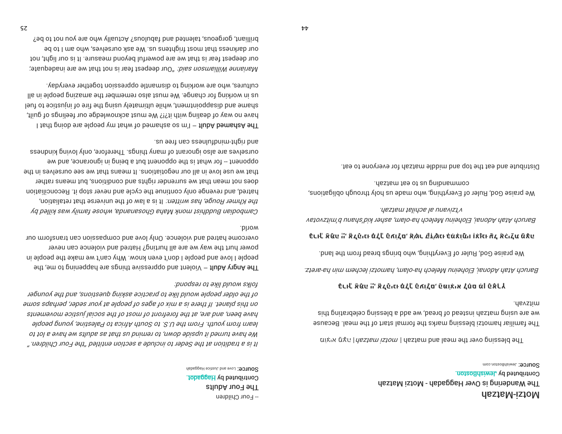Source: Love and Justice Haggadah Contributed by Haggadot **The Four Adults** - Four Children

puodsəı oı əyy pınom syjou: of the older people would like to practice asking questions, and the younger ou this planet: If there is a xim b, aspe to beople at your seder, perhaps some Bave been, and are, at the forefront of the social liabital justice movements  $\beta$ aru krony youth. From the U.S. to South Africa to Palestine, young people ot tol a system it loops of the section to that as a sulph we have a lot to " neibling incl ent" belitine noitoes a sbuloni of the four childent a si th

.bl1ow overcome hatred and violence. Only love and compassion can transform our power hurt the way we are all hurting? Hatred and violence can never people I love and people I don't even knom. Why can't we make the people in 9dt , em ot prinnegged bre sprint bvissengdo bre treloiV - tlubA vipnA edT

au sent nas assalutbnim-thpin bns. exerptional privol vino enorginal things. Therefore, only loving kindness ow bue to must is the opponent but a being in ignorance, and we that we use love in all our negotiations. It means that we see ourselves in the does not mean that we surrender rights and conditions, but means rather hatred, and revenge only continue the cycle and never stop it. Reconciliation the Khmer Rouge, has written: It is a law of the universe that retaliation,  $\lambda$ q pə $\mu$ y sem  $\lambda$ ji $\mu$ ey əsoym 'epueuesoy $\theta$  eye $\mu$  yuo $\mu$  isiyppn $\eta$  ueipoqwe $\eta$ 

cultures, who are working to dismantle oppression together everyday. us in working for change. We must also remember the amazing people in all Isu't of soitaujni to suit on priam vlatamitlu slidw , traminioquasib bns amada have no way of dealing with it?!? We must acknowledge our feelings of guilt, I tsdt pniob are alqoaq vm tsdw to bamsdas oz m'l - tlubA bamsdasA adT

brilliant, gorgeous, talented and fabulous? Actually who are you not to be? our darkness that most frightens us. We ask ourselves, who am I to be our deepest fear is that we are powerful beyond measure. It is our light, not Warianne Williamson said: "Our deepest fear is not that we are inadequate;

> **SOUICE: JewishBoston.com** Contributed by JewishBoston The Wandering is Over Haggadah - Motzi Matzah Motzi-Matzah

עוֹא ū̄k̄u | *yezteɯ iztoɯ* | yezteɯ pue jeəɯ əyt Jəʌo buissəjq əy<u>t</u>

.nitzvah. we are using matzah instead of bread, we add a blessing celebrating this The familiar hamotzi blessing marks the formal start of the meal. Because

#### כֿנוּلْ אَפֿני ה' אْבְטֿונוּ מֹבְל טֿמוַבֿם פֿוואֿואַ בֿטם מו טֿאָלל

Baruch Atah Adonai, ElohenN Melech ha-olam, hamatzi lechem min ha-aretz.

We praise God, Ruler of Everything, who brings bread from the land.

## כֿנו-" אַפֿני הו אֶבְנֿונוּ מֹבָן" פֿרו-"אָמָנוּ בֿוּבְהָנוּ כֹּמֹלוֹמַוּ וֹלוֹנוּ הַבְ אָכֹוּבְע מַלָּני

ytzismu telinos la unavist'v. Faruch Afah Adonai, Eloheinu Melech ha-olam, asher kid'shanu b'mitzvotav

commanding ns to eat matzah. We praise God, Ruler of Everything, who made us holy through obligations,

Distribute and eat the top and middle matzah for everyone to eat.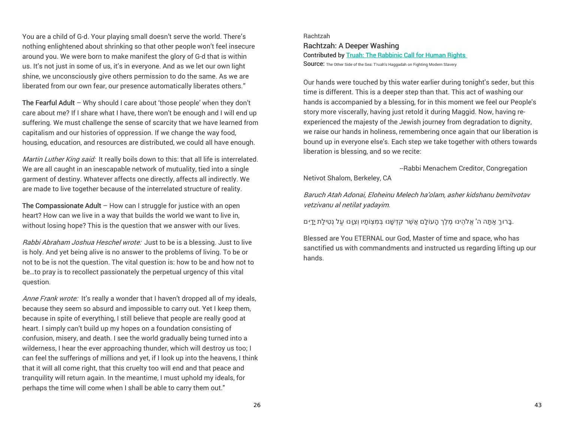You are a child of G-d. Your playing small doesn't serve the world. There's nothing enlightened about shrinking so that other people won't feel insecure around you. We were born to make manifest the glory of G-d that is within us. It's not just in some of us, it's in everyone. And as we let our own light shine, we unconsciously give others permission to do the same. As we are liberated from our own fear, our presence automatically liberates others."

The Fearful Adult – Why should I care about 'those people' when they don't care about me? If I share what I have, there won't be enough and I will end up suffering. We must challenge the sense of scarcity that we have learned from capitalism and our histories of oppression. If we change the way food, housing, education, and resources are distributed, we could all have enough.

Martin Luther King said: It really boils down to this: that all life is interrelated. We are all caught in an inescapable network of mutuality, tied into a single garment of destiny. Whatever affects one directly, affects all indirectly. We are made to live together because of the interrelated structure of reality.

The Compassionate Adult – How can I struggle for justice with an open heart? How can we live in a way that builds the world we want to live in, without losing hope? This is the question that we answer with our lives.

Rabbi Abraham Joshua Heschel wrote: Just to be is a blessing. Just to live is holy. And yet being alive is no answer to the problems of living. To be or not to be is not the question. The vital question is: how to be and how not to be…to pray is to recollect passionately the perpetual urgency of this vital question.

Anne Frank wrote: It's really a wonder that I haven't dropped all of my ideals, because they seem so absurd and impossible to carry out. Yet I keep them, because in spite of everything, I still believe that people are really good at heart. I simply can't build up my hopes on a foundation consisting of confusion, misery, and death. I see the world gradually being turned into a wilderness, I hear the ever approaching thunder, which will destroy us too; I can feel the sufferings of millions and yet, if I look up into the heavens, I think that it will all come right, that this cruelty too will end and that peace and tranquility will return again. In the meantime, I must uphold my ideals, for perhaps the time will come when I shall be able to carry them out."

Rachtzah Rachtzah: A Deeper Washing Contributed by Truah: The Rabbinic Call for Human Rights

Source: The Other Side of the Sea: T'ruah's Haggadah on Fighting Modern Slavery

Our hands were touched by this water earlier during tonight's seder, but this time is different. This is a deeper step than that. This act of washing our hands is accompanied by a blessing, for in this moment we feel our People's story more viscerally, having just retold it during Maggid. Now, having reexperienced the majesty of the Jewish journey from degradation to dignity, we raise our hands in holiness, remembering once again that our liberation is bound up in everyone else's. Each step we take together with others towards liberation is blessing, and so we recite:

--Rabbi Menachem Creditor, Congregation

Netivot Shalom, Berkeley, CA

Baruch Atah Adonai, Eloheinu Melech ha'olam, asher kidshanu bemitvotav vetzivanu al netilat yadayim.

ַבֵּרוּךְ אַתַּה ה' אֱלֹהֵינוּ מֶלֶך הַעוֹלַם אֲשֶׁר קִדְשַׁנוּ בִּמְצִוֹתַיו וְצִוּנוּ עַל נְטִילַת <u>יִד</u>יִּם.

Blessed are You ETERNAL our God, Master of time and space, who has sanctified us with commandments and instructed us regarding lifting up our hands.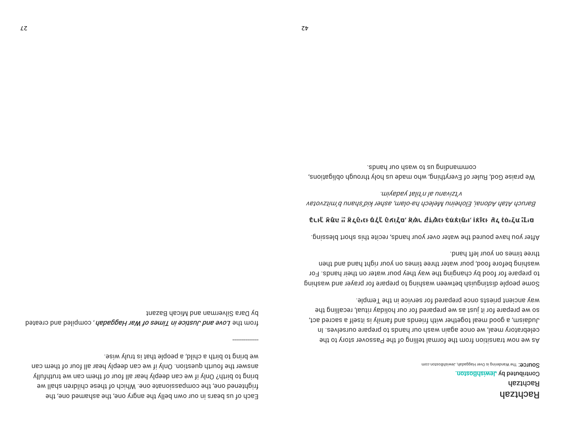# **Hachtzah Haschtzah** Contributed by JewishBoston

SOUICE: The Wandering is Over Haggadab, JewishBoston.com

eht ot yr ot sr evosseP edt to gnillet lamot edt mort noiti and even subcelebratory meal, we once again wash our hands to prepare ourselves. In to about a dood meal tegether with friends about it and actoral act, so we prepare for it just as we prepared for our holiday ritual, recalling the way ancient priests once prepared for service in the Temple.

gowe beoble qistinguish between washing to prepare for prayer and washing to prepare for food by changing the way they pour water on their hands. For mashing before food, pour water three times on your right hand and then three times on your left hand.

After you have poured the water over your hands, recite this short blessing.

## כֿנוֹל אَפֿני ה אْצָנינוּ מֹגָל פֿמונְקו אָמִנ בּוּבַתּ למֹגוִמֿוו וֹגֹּזֹנוּ הֹג למונקת הווס

Baruch Atah Adonai, Eloheinu Melech ha-olam, asher kid'shah b'mitzvotav  $u$ i kepe $\lambda$   $p$ i $p$ i $\mu$ , $u$  je nue $\lambda$ iz $\mu$ 

We praise God, Ruler of Everything, who made us holy through obligations, spuey no ysem of an paibnemmop

Each of us bears in our own belly the angry one, the ashamed one, the frightened one, the compassionate one. Which of these children shall we bring to birth? Only if we can deeply hear all four of them can we truthfully answer the fourth question. Only if we can deeply hear all four of them can we bring to brith a child, a people that ai truly wise.

from the Love and Justice in Times of War Haggado. About the bad created tnssad daoiM bna namayli2 and yd

--------------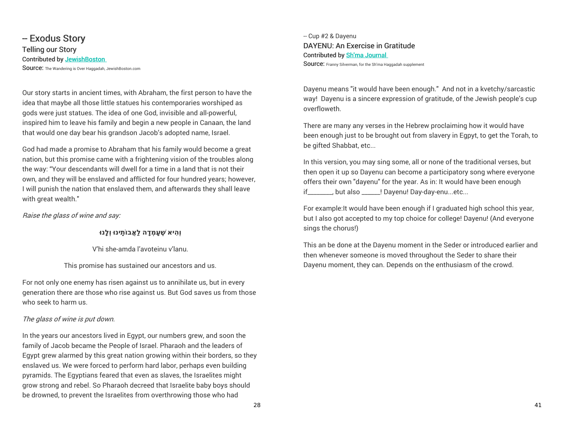- Exodus Story Telling our Story Contributed by JewishBoston Source: The Wandering is Over Haggadah, JewishBoston.com

Our story starts in ancient times, with Abraham, the first person to have the idea that maybe all those little statues his contemporaries worshiped as gods were just statues. The idea of one God, invisible and all-powerful, inspired him to leave his family and begin a new people in Canaan, the land that would one day bear his grandson Jacob's adopted name, Israel.

God had made a promise to Abraham that his family would become a great nation, but this promise came with a frightening vision of the troubles along the way: "Your descendants will dwell for a time in a land that is not their own, and they will be enslaved and afflicted for four hundred years; however, I will punish the nation that enslaved them, and afterwards they shall leave with great wealth."

Raise the glass of wine and say:

#### **וְ ִהיא ֶׁש ָע ְמ ָדה לַ ֲאב ֹו ֵֽתינו ּוְלָֽנו ּ**

V'hi she-amda l'avoteinu v'lanu.

This promise has sustained our ancestors and us.

For not only one enemy has risen against us to annihilate us, but in every generation there are those who rise against us. But God saves us from those who seek to harm us.

#### The glass of wine is put down.

In the years our ancestors lived in Egypt, our numbers grew, and soon the family of Jacob became the People of Israel. Pharaoh and the leaders of Egypt grew alarmed by this great nation growing within their borders, so they enslaved us. We were forced to perform hard labor, perhaps even building pyramids. The Egyptians feared that even as slaves, the Israelites might grow strong and rebel. So Pharaoh decreed that Israelite baby boys should be drowned, to prevent the Israelites from overthrowing those who had

-- Cup #2 & Dayenu DAYENU: An Exercise in Gratitude Contributed by Sh'ma Journal Source: Franny Silverman, for the Sh'ma Haggadah supplement

Dayenu means "it would have been enough." And not in a kvetchy/sarcastic way! Dayenu is a sincere expression of gratitude, of the Jewish people's cup overfloweth.

There are many any verses in the Hebrew proclaiming how it would have been enough just to be brought out from slavery in Egpyt, to get the Torah, to be gifted Shabbat, etc...

In this version, you may sing some, all or none of the traditional verses, but then open it up so Dayenu can become a participatory song where everyone offers their own "dayenu" for the year. As in: It would have been enough if\_\_\_\_\_\_\_\_, but also \_\_\_\_\_\_! Dayenu! Day-day-enu...etc...

For example:It would have been enough if I graduated high school this year, but I also got accepted to my top choice for college! Dayenu! (And everyone sings the chorus!)

This an be done at the Dayenu moment in the Seder or introduced earlier and then whenever someone is moved throughout the Seder to share their Dayenu moment, they can. Depends on the enthusiasm of the crowd.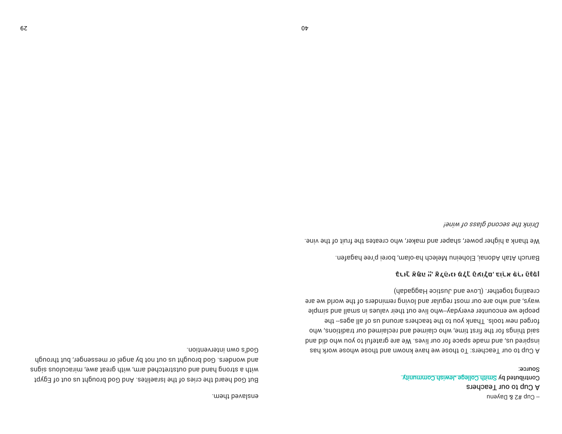## Source: Contributed by Smith College Jewish Community A Cup to our Teachers − Cup #2 & Dayenu

creating together. (Love and Justice Haggadah) ways, and who are our most regular and loving reminders of the world we are people we encounter everyday--who live out their values in small and simple forged new tools. Thank you to the teachers around us of all ages-the said things for the first time, who claimed and reclaimed our traditions, who inspired us, and made space for our lives. We are grateful to you who did and A Cup to our Teachers: To those we have known and those whose work has

#### כֿנו-لْ אَמֿני ה' אْבְטֿונו מֹבְל פֿרובַלס כּונֹא פֿנו פֿנֿפֿן

Baruch Atah Adonai, Eloheinu Melech ha-olam, borei p'ree hagafen.

We thank a higher power, shaper and maker, who creates the fruit of the vine.

puink the second glass of wine!

#### enslaved them.

God's own intervention. and wonders. God brought us out not by angel or messenger, but through with a strong hand ontainabase and with great awe, miraculous supper But God heard the cries of the Israelites. And God brought us out of Egypt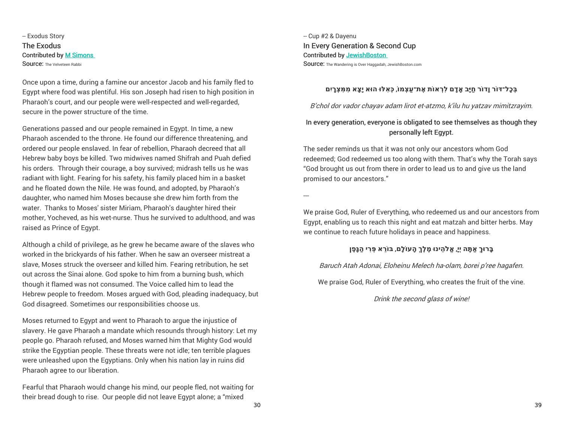-- Exodus Story The Exodus Contributed by M Simons Source: The Velveteen Rabbi

Once upon a time, during a famine our ancestor Jacob and his family fled to Egypt where food was plentiful. His son Joseph had risen to high position in Pharaoh's court, and our people were well-respected and well-regarded, secure in the power structure of the time.

Generations passed and our people remained in Egypt. In time, a new Pharaoh ascended to the throne. He found our difference threatening, and ordered our people enslaved. In fear of rebellion, Pharaoh decreed that all Hebrew baby boys be killed. Two midwives named Shifrah and Puah defied his orders. Through their courage, a boy survived; midrash tells us he was radiant with light. Fearing for his safety, his family placed him in a basket and he floated down the Nile. He was found, and adopted, by Pharaoh's daughter, who named him Moses because she drew him forth from the water. Thanks to Moses' sister Miriam, Pharaoh's daughter hired their mother, Yocheved, as his wet-nurse. Thus he survived to adulthood, and was raised as Prince of Egypt.

Although a child of privilege, as he grew he became aware of the slaves who worked in the brickyards of his father. When he saw an overseer mistreat a slave, Moses struck the overseer and killed him. Fearing retribution, he set out across the Sinai alone. God spoke to him from a burning bush, which though it flamed was not consumed. The Voice called him to lead the Hebrew people to freedom. Moses argued with God, pleading inadequacy, but God disagreed. Sometimes our responsibilities choose us.

Moses returned to Egypt and went to Pharaoh to argue the injustice of slavery. He gave Pharaoh a mandate which resounds through history: Let my people go. Pharaoh refused, and Moses warned him that Mighty God would strike the Egyptian people. These threats were not idle; ten terrible plagues were unleashed upon the Egyptians. Only when his nation lay in ruins did Pharaoh agree to our liberation.

Fearful that Pharaoh would change his mind, our people fled, not waiting for their bread dough to rise. Our people did not leave Egypt alone; a "mixed

-- Cup #2 & Dayenu In Every Generation & Second Cup Contributed by JewishBoston Source: The Wandering is Over Haggadah, JewishBoston.com

#### בְּכָל־דּוֹר וַדוֹר חַיָּב אָדָם לִרְאוֹת אֶת־עַצְמוֹ, כְּאִלּוּ הוּא יָצָא מִמִּצְרַיִם

B'chol dor vador chayav adam lirot et-atzmo, k'ilu hu yatzav mimitzrayim.

## In every generation, everyone is obligated to see themselves as though they personally left Egypt.

The seder reminds us that it was not only our ancestors whom God redeemed; God redeemed us too along with them. That's why the Torah says "God brought us out from there in order to lead us to and give us the land promised to our ancestors."

---

We praise God, Ruler of Everything, who redeemed us and our ancestors from Egypt, enabling us to reach this night and eat matzah and bitter herbs. May we continue to reach future holidays in peace and happiness.

#### **בָּרו ּךְ ַא ָתּה יְיָ**, **ֱא ֹל ֵהינו ּ ֶמלֶךְ ָהע ֹולָם**, **בּ ֹו ֵרא ְּפ ִרי ַהגָּ ֶפן**

#### Baruch Atah Adonai, Eloheinu Melech ha-olam, borei p'ree hagafen.

We praise God, Ruler of Everything, who creates the fruit of the vine.

Drink the second glass of wine!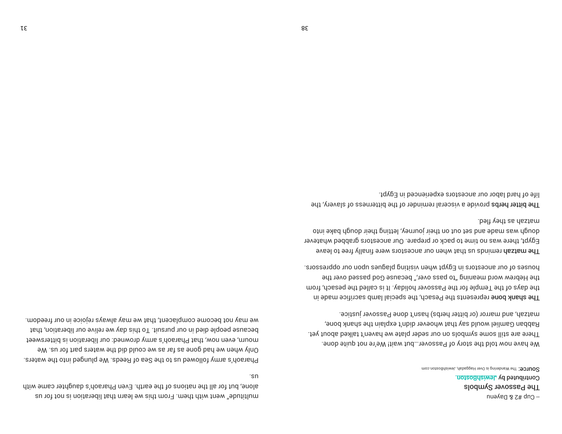$-$  cup  $\#$  2  $\#$  public  $-$ The Passover Symbols Contributed by JewishBoston

SOUICE: The Wandering is Over Haggabab, JewishBoston.com

We have now told the story of Passover...but wait! We're not quite done. There are still some symbols on our seder plate we haven't talked about yet. Rabban Gamliel would say that whoever didn't explain the shank bone, matzah, and marror (or bitter herbs) hasn't done Passover justice.

The shand bone represents the Pessch, the special lamb sacrifice made in mont das sepaint and act the Passover holiday. It is called the pesach, from the Heptew word meaning "to pass over," because God passed over the houses of our ancestors in Egypt when visiting plagues upon our oppressors.

File matzah reminds us that when our ancestors were finally free to leave Egypt, there was no time to pack or prepare. Our ancestors grabbed whatever ot ni ekab hag bar buo their journey, letting their deugh bake into . bəli yədi as dastam

The bitter herbs provide a visceral reminder of the bitterness of slavery, the life of hard labor our ancestors experienced in Egypt.

sur of ton si noits adil tadt nr ael ew aidt mor F. medt diw tnew " sbuttlum alone, but for all the nations of the earth. Even Pharaoh's daughter came with . su

Pharaoh's army followed us to the Sea of Reeds. We punged into the waters. 9W . sur of trag star as we could did the waters part for us. We the was even work that pharaoh's army drowned: our liberation is bittersweet t and the epide in the uprest result of the series who is that in the series in the state. we may not become complacent, that we may always rejoice in our freedom.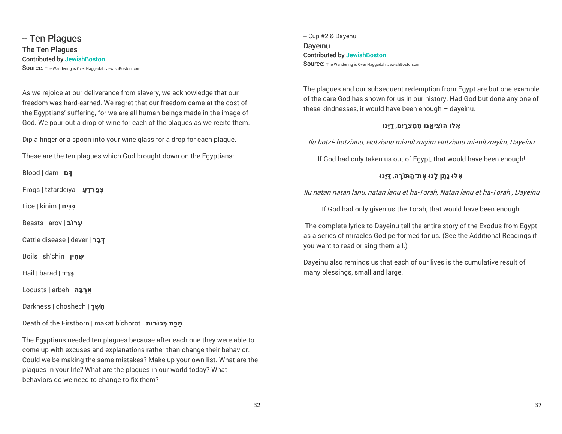- Ten Plagues The Ten Plagues Contributed by JewishBoston Source: The Wandering is Over Haggadah, JewishBoston.com

As we rejoice at our deliverance from slavery, we acknowledge that our freedom was hard-earned. We regret that our freedom came at the cost of the Egyptians' suffering, for we are all human beings made in the image of God. We pour out a drop of wine for each of the plagues as we recite them.

Dip a finger or a spoon into your wine glass for a drop for each plague.

These are the ten plagues which God brought down on the Egyptians:

**ָדּם** | dam |Blood

**צְ ַפ ְר ֵֽדַּע** | tzfardeiya | Frogs

**כִּנִּים** | kinim | Lice

**עָר ֹוב** | arov | Beasts

**ֶֽדּבֶר** | dever | disease Cattle

Boils | sh'chin |**יןִשחְׁ**

**בָָּרד** | barad | Hail

**ַא ְרבֶּה** |arbeh | Locusts

**ֹחֽ ֶׁשךְ**| choshech | Darkness

Death of the Firstborn |makat b'chorot | **ותֹ ורֹ כְּב תַּמכַ**

The Egyptians needed ten plagues because after each one they were able to come up with excuses and explanations rather than change their behavior. Could we be making the same mistakes? Make up your own list. What are the plagues in your life? What are the plagues in our world today? What behaviors do we need to change to fix them?

-- Cup #2 & Dayenu Dayeinu Contributed by JewishBoston Source: The Wandering is Over Haggadah, JewishBoston.com

The plagues and our subsequent redemption from Egypt are but one example of the care God has shown for us in our history. Had God but done any one of these kindnesses, it would have been enough – dayeinu.

#### **ִאלּו ּה ֹוצִי ָֽאנו ּ ִמ ִּמצְ ַֽריִם**, **ַדּיֵּנו ּ**

Ilu hotzi- hotzianu, Hotzianu mi-mitzrayim Hotzianu mi-mitzrayim, Dayeinu

If God had only taken us out of Egypt, that would have been enough!

#### **ִאלּו ּנָ ַתן לָֽנו ּ ֶאת־ ַהתּ ֹוָרה**, **ַדּיֵּנו ּ**

Ilu natan natan lanu, natan lanu et ha-Torah, Natan lanu et ha-Torah , Dayeinu

If God had only given us the Torah, that would have been enough.

The complete lyrics to Dayeinu tell the entire story of the Exodus from Egypt as a series of miracles God performed for us. (See the Additional Readings if you want to read or sing them all.)

Dayeinu also reminds us that each of our lives is the cumulative result of many blessings, small and large.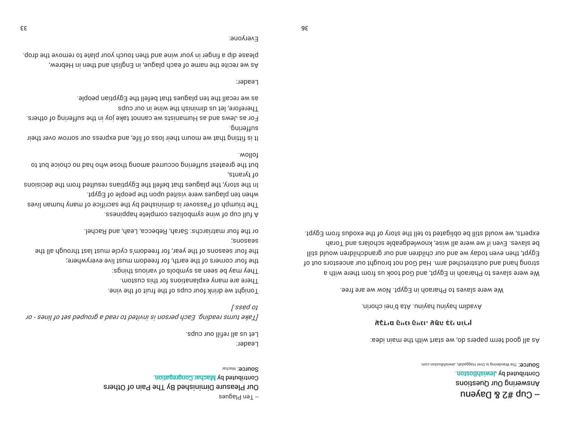**Source: Machar** Contributed by Machar Congregation Our Pleasure Diminished By The Pain of Others en Plagues

Let us all refill our cups. Leader:

['ssed o<sub>1</sub> ן g yes pədnolib e peəl oı pə $i$ ınıl sı uosləd yo $e$ g olupeəl sulnı əye $\mu$ 

the four seasons of the year, for freedom's cycle must last through all the the four corners of the earth, for freedom must live everywhere; They may be seen as sympols of various things: There are many explanations for this custom. Toniy but we drink four cups of the fruit of the vine.

or the four matriarchs: Sarah, Rebecca, Leah, and Rachel. :suoseas

A full cup of wine symbolizes complete happiness.

when ten plagues were visited upon the people of Egypt. The triumph of Passover is diminished by the sacrifice of many human lives

ef tyrants, In the story, the plagues that befell the Egyptians resulted from the decisions

.wollot but the greatest suffering occurred among those who had no choice but to

guineting. It is fitting that we mourn their loss of life, and express our sorrow over their

Therefore, let us diminish the wine in our cups For as Jews and as Humanists we cannot take joy in the suffering of others.

as we recall the ten plagues that befell the Egyptian people.

Leader:

please dip a finger in your wine and then touch your plate to remove the drop. As we recite the name of each plague, in English and then in Hebrew,

Everyone:

98

SOUICE: The Wandering is Over Haggadab, JewishBoston.com Contributed by JewishBoston **Answering Our Questions** - Cup #2 & Dayenu

As all good term papers by, we start with the main idea:

#### ת בָּדְרִים הָיִינוּ הָיִנוּ. עַמְה הָאָה הַיֹּךְ עַזְרִין

ninodo ien'd stA .univad univad mibsvA.

We were slaves to Pharaoh in Egypt. Now we are free.

experts, we would still be obligated to tell the story of the exodus from Egypt. be slaves. Even if we were all wise, knowledgeable scholars and Torah Egypt, then even today we and our children and our grandchildren would still trong hand and outstrate bed arm. Had God not brought our ancestors out of We were slaves to Pharaoh in Egypt, and God took us from there with a